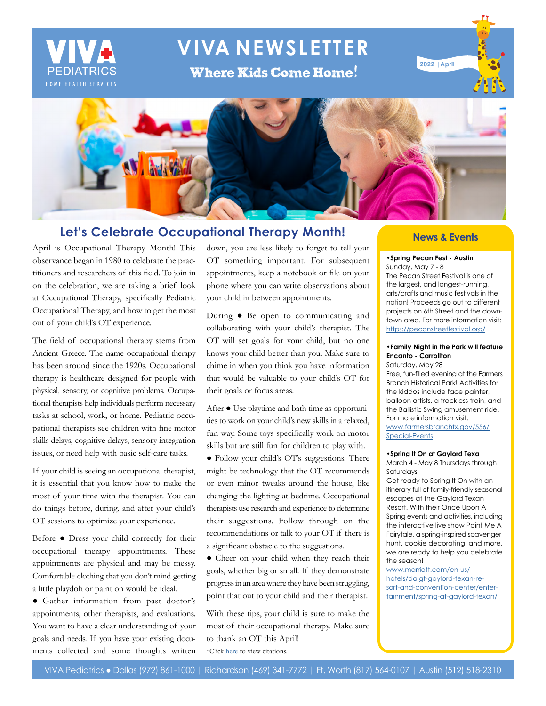

# **VIVA NEWSLETTER**

**Where Kids Come Home!** 





## **Let's Celebrate Occupational Therapy Month!**

April is Occupational Therapy Month! This observance began in 1980 to celebrate the practitioners and researchers of this field. To join in on the celebration, we are taking a brief look at Occupational Therapy, specifically Pediatric Occupational Therapy, and how to get the most out of your child's OT experience.

The field of occupational therapy stems from Ancient Greece. The name occupational therapy has been around since the 1920s. Occupational therapy is healthcare designed for people with physical, sensory, or cognitive problems. Occupational therapists help individuals perform necessary tasks at school, work, or home. Pediatric occupational therapists see children with fine motor skills delays, cognitive delays, sensory integration issues, or need help with basic self-care tasks.

If your child is seeing an occupational therapist, it is essential that you know how to make the most of your time with the therapist. You can do things before, during, and after your child's OT sessions to optimize your experience.

Before ● Dress your child correctly for their occupational therapy appointments. These appointments are physical and may be messy. Comfortable clothing that you don't mind getting a little playdoh or paint on would be ideal.

● Gather information from past doctor's appointments, other therapists, and evaluations. You want to have a clear understanding of your goals and needs. If you have your existing documents collected and some thoughts written

down, you are less likely to forget to tell your OT something important. For subsequent appointments, keep a notebook or file on your phone where you can write observations about your child in between appointments.

During ● Be open to communicating and collaborating with your child's therapist. The OT will set goals for your child, but no one knows your child better than you. Make sure to chime in when you think you have information that would be valuable to your child's OT for their goals or focus areas.

After ● Use playtime and bath time as opportunities to work on your child's new skills in a relaxed, fun way. Some toys specifically work on motor skills but are still fun for children to play with.

● Follow your child's OT's suggestions. There might be technology that the OT recommends or even minor tweaks around the house, like changing the lighting at bedtime. Occupational therapists use research and experience to determine their suggestions. Follow through on the recommendations or talk to your OT if there is a significant obstacle to the suggestions.

● Cheer on your child when they reach their goals, whether big or small. If they demonstrate progress in an area where they have been struggling, point that out to your child and their therapist.

With these tips, your child is sure to make the most of their occupational therapy. Make sure to thank an OT this April! \*Click [here](https://www.vivapeds.com/citations-april-2022-newsletter-let%E2%80%99s-celebrate-occupational-therapy-month) to view citations.

#### **News & Events**

## **•Spring Pecan Fest - Austin**

Sunday, May 7 - 8 The Pecan Street Festival is one of the largest, and longest-running, arts/crafts and music festivals in the nation! Proceeds go out to different projects on 6th Street and the downtown area. For more information visit: [https://pecanstreetfestival.org/](https://pecanstreetfestival.org/ )

#### **•Family Night in the Park will feature Encanto - Carrollton** Saturday, May 28

Free, fun-filled evening at the Farmers Branch Historical Park! Activities for the kiddos include face painter, balloon artists, a trackless train, and the Ballistic Swing amusement ride. For more information visit: [www.farmersbranchtx.gov/556/](http://www.farmersbranchtx.gov/556/Special-Events )

[Special-Events](http://www.farmersbranchtx.gov/556/Special-Events )

#### **•Spring It On at Gaylord Texa**

March 4 - May 8 Thursdays through Saturdays

Get ready to Spring It On with an itinerary full of family-friendly seasonal escapes at the Gaylord Texan Resort. With their Once Upon A Spring events and activities, including the interactive live show Paint Me A Fairytale, a spring-inspired scavenger hunt, cookie decorating, and more, we are ready to help you celebrate the season!

[www.marriott.com/en-us/](http://www.marriott.com/en-us/hotels/dalgt-gaylord-texan-resort-and-convention-center/entertainment/spring-at-gaylord-texan/) [hotels/dalgt-gaylord-texan-re](http://www.marriott.com/en-us/hotels/dalgt-gaylord-texan-resort-and-convention-center/entertainment/spring-at-gaylord-texan/)[sort-and-convention-center/enter](http://www.marriott.com/en-us/hotels/dalgt-gaylord-texan-resort-and-convention-center/entertainment/spring-at-gaylord-texan/)[tainment/spring-at-gaylord-texan/](http://www.marriott.com/en-us/hotels/dalgt-gaylord-texan-resort-and-convention-center/entertainment/spring-at-gaylord-texan/)